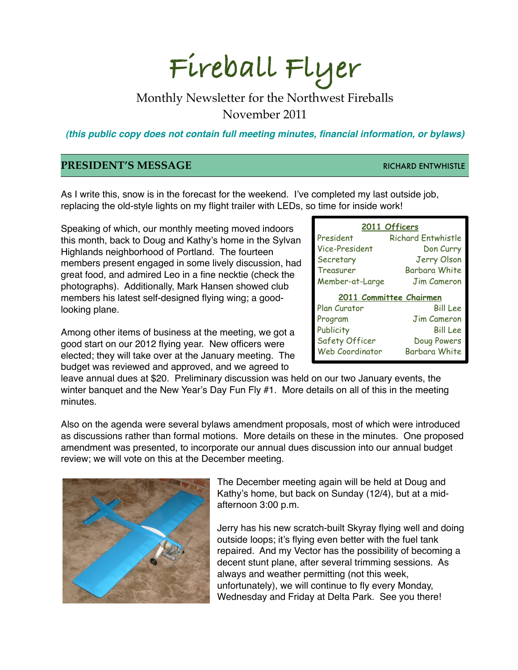# **Fireball Flyer**

## Monthly Newsletter for the Northwest Fireballs November 2011

*(this public copy does not contain full meeting minutes, financial information, or bylaws)*

#### **PRESIDENT'S MESSAGE RICHARD ENTWHISTLE**

As I write this, snow is in the forecast for the weekend. I've completed my last outside job, replacing the old-style lights on my flight trailer with LEDs, so time for inside work!

Speaking of which, our monthly meeting moved indoors this month, back to Doug and Kathy's home in the Sylvan Highlands neighborhood of Portland. The fourteen members present engaged in some lively discussion, had great food, and admired Leo in a fine necktie (check the photographs). Additionally, Mark Hansen showed club members his latest self-designed flying wing; a goodlooking plane.

Among other items of business at the meeting, we got a good start on our 2012 flying year. New officers were elected; they will take over at the January meeting. The budget was reviewed and approved, and we agreed to

| 2011 Officers           |                    |
|-------------------------|--------------------|
| President               | Richard Entwhistle |
| Vice-President          | Don Curry          |
| Secretary               | Jerry Olson        |
| Treasurer               | Barbara White      |
| Member-at-Large         | Jim Cameron        |
| 2011 Committee Chairmen |                    |
|                         |                    |
| Plan Curator            | Bill Lee           |
| Program                 | <b>Jim Cameron</b> |
| Publicity               | Bill Lee           |
| Safety Officer          | Doug Powers        |

leave annual dues at \$20. Preliminary discussion was held on our two January events, the winter banquet and the New Year's Day Fun Fly #1. More details on all of this in the meeting minutes.

Also on the agenda were several bylaws amendment proposals, most of which were introduced as discussions rather than formal motions. More details on these in the minutes. One proposed amendment was presented, to incorporate our annual dues discussion into our annual budget review; we will vote on this at the December meeting.



The December meeting again will be held at Doug and Kathy's home, but back on Sunday (12/4), but at a midafternoon 3:00 p.m.

Jerry has his new scratch-built Skyray flying well and doing outside loops; it's flying even better with the fuel tank repaired. And my Vector has the possibility of becoming a decent stunt plane, after several trimming sessions. As always and weather permitting (not this week, unfortunately), we will continue to fly every Monday, Wednesday and Friday at Delta Park. See you there!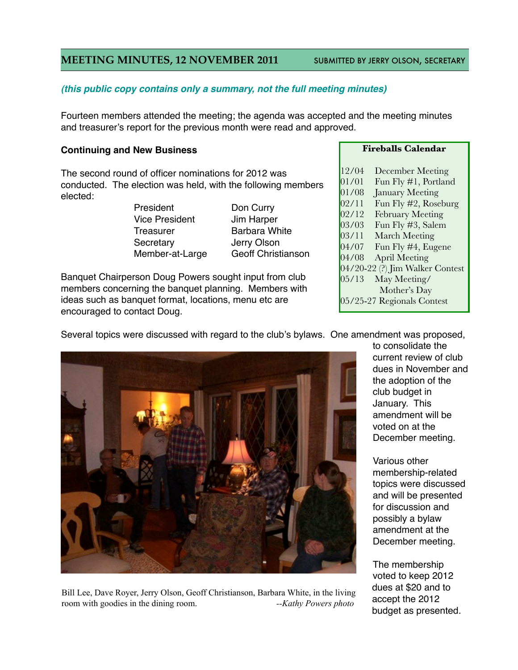#### **MEETING MINUTES, 12 NOVEMBER 2011 SUBMITTED BY JERRY OLSON, SECRETARY**

#### *(this public copy contains only a summary, not the full meeting minutes)*

Fourteen members attended the meeting; the agenda was accepted and the meeting minutes and treasurer's report for the previous month were read and approved.

#### **Continuing and New Business**

The second round of officer nominations for 2012 was conducted. The election was held, with the following members elected:

> Vice President **4 Jim Harper** # # # Treasurer# # # Barbara White Secretary **19 19 Jerry Olson**

# # # President# # # Don Curry Member-at-Large Geoff Christianson

Banquet Chairperson Doug Powers sought input from club members concerning the banquet planning. Members with ideas such as banquet format, locations, menu etc are encouraged to contact Doug.

#### **Fireballs Calendar**

12/04 December Meeting 01/01 Fun Fly #1, Portland 01/08 January Meeting 02/11 Fun Fly #2, Roseburg 02/12 February Meeting 03/03 Fun Fly #3, Salem 03/11 March Meeting 04/07 Fun Fly #4, Eugene 04/08 April Meeting 04/20-22 (?) Jim Walker Contest 05/13 May Meeting/ Mother's Day 05/25-27 Regionals Contest



Bill Lee, Dave Royer, Jerry Olson, Geoff Christianson, Barbara White, in the living room with goodies in the dining room. *--Kathy Powers photo*

to consolidate the current review of club dues in November and the adoption of the club budget in January. This amendment will be voted on at the December meeting.

Various other membership-related topics were discussed and will be presented for discussion and possibly a bylaw amendment at the December meeting.

The membership voted to keep 2012 dues at \$20 and to accept the 2012 budget as presented.

Several topics were discussed with regard to the club's bylaws. One amendment was proposed,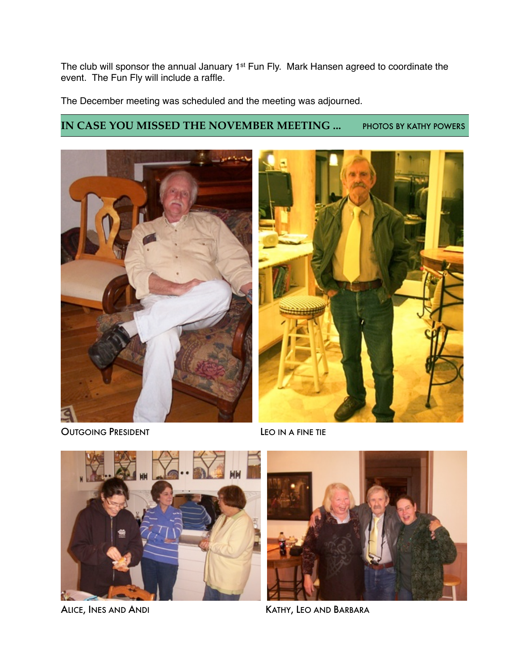The club will sponsor the annual January 1<sup>st</sup> Fun Fly. Mark Hansen agreed to coordinate the event. The Fun Fly will include a raffle.

The December meeting was scheduled and the meeting was adjourned.

### **IN CASE YOU MISSED THE NOVEMBER MEETING ...** PHOTOS BY KATHY POWERS



OUTGOING PRESIDENT LEO IN A FINE TIE





ALICE, INES AND ANDI **ALICE, AND ANDI KATHY, LEO AND BARBARA**